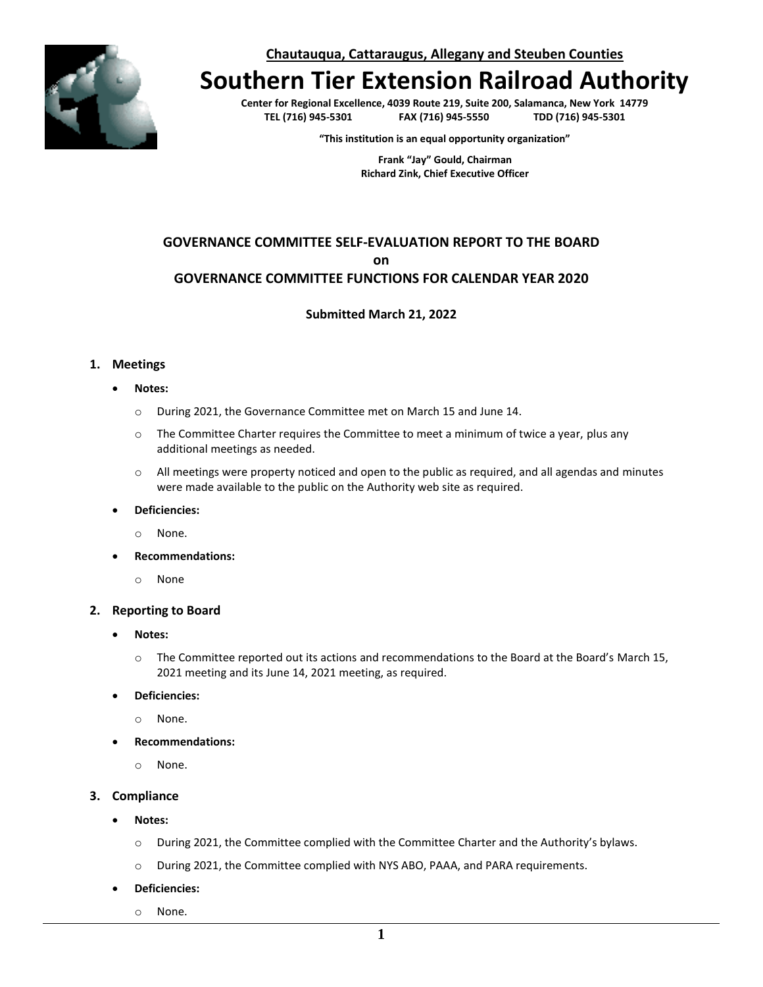

**Chautauqua, Cattaraugus, Allegany and Steuben Counties**

# **Southern Tier Extension Railroad Authority**

**Center for Regional Excellence, 4039 Route 219, Suite 200, Salamanca, New York 14779**  $FAX (716) 945-5550$ 

**"This institution is an equal opportunity organization"**

**Frank "Jay" Gould, Chairman Richard Zink, Chief Executive Officer**

## **GOVERNANCE COMMITTEE SELF-EVALUATION REPORT TO THE BOARD on GOVERNANCE COMMITTEE FUNCTIONS FOR CALENDAR YEAR 2020**

## **Submitted March 21, 2022**

#### **1. Meetings**

- **Notes:**
	- o During 2021, the Governance Committee met on March 15 and June 14.
	- $\circ$  The Committee Charter requires the Committee to meet a minimum of twice a year, plus any additional meetings as needed.
	- $\circ$  All meetings were property noticed and open to the public as required, and all agendas and minutes were made available to the public on the Authority web site as required.

#### • **Deficiencies:**

- o None.
- **Recommendations:**
	- o None

#### **2. Reporting to Board**

- **Notes:**
	- o The Committee reported out its actions and recommendations to the Board at the Board's March 15, 2021 meeting and its June 14, 2021 meeting, as required.
- **Deficiencies:**
	- o None.
- **Recommendations:**
	- o None.
- **3. Compliance**
	- **Notes:**
		- o During 2021, the Committee complied with the Committee Charter and the Authority's bylaws.
		- o During 2021, the Committee complied with NYS ABO, PAAA, and PARA requirements.
	- **Deficiencies:**
		- o None.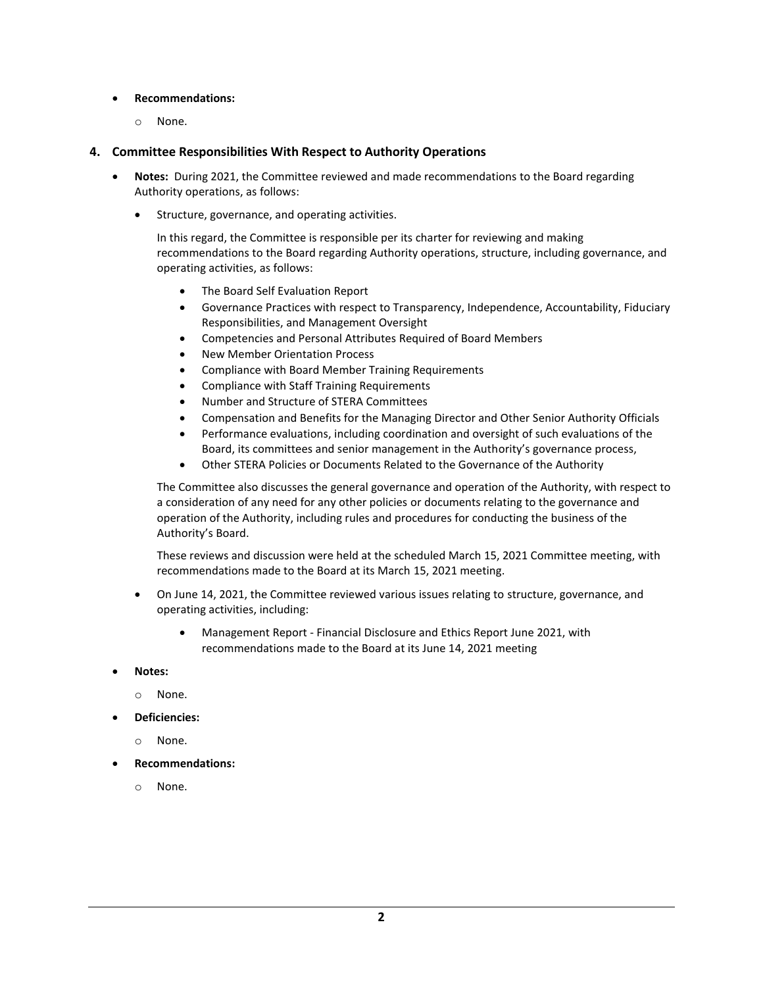### • **Recommendations:**

o None.

## **4. Committee Responsibilities With Respect to Authority Operations**

- **Notes:** During 2021, the Committee reviewed and made recommendations to the Board regarding Authority operations, as follows:
	- Structure, governance, and operating activities.

In this regard, the Committee is responsible per its charter for reviewing and making recommendations to the Board regarding Authority operations, structure, including governance, and operating activities, as follows:

- The Board Self Evaluation Report
- Governance Practices with respect to Transparency, Independence, Accountability, Fiduciary Responsibilities, and Management Oversight
- Competencies and Personal Attributes Required of Board Members
- New Member Orientation Process
- Compliance with Board Member Training Requirements
- Compliance with Staff Training Requirements
- Number and Structure of STERA Committees
- Compensation and Benefits for the Managing Director and Other Senior Authority Officials
- Performance evaluations, including coordination and oversight of such evaluations of the Board, its committees and senior management in the Authority's governance process,
- Other STERA Policies or Documents Related to the Governance of the Authority

The Committee also discusses the general governance and operation of the Authority, with respect to a consideration of any need for any other policies or documents relating to the governance and operation of the Authority, including rules and procedures for conducting the business of the Authority's Board.

These reviews and discussion were held at the scheduled March 15, 2021 Committee meeting, with recommendations made to the Board at its March 15, 2021 meeting.

- On June 14, 2021, the Committee reviewed various issues relating to structure, governance, and operating activities, including:
	- Management Report Financial Disclosure and Ethics Report June 2021, with recommendations made to the Board at its June 14, 2021 meeting
- **Notes:**
	- o None.
- **Deficiencies:**
	- o None.
- **Recommendations:**
	- o None.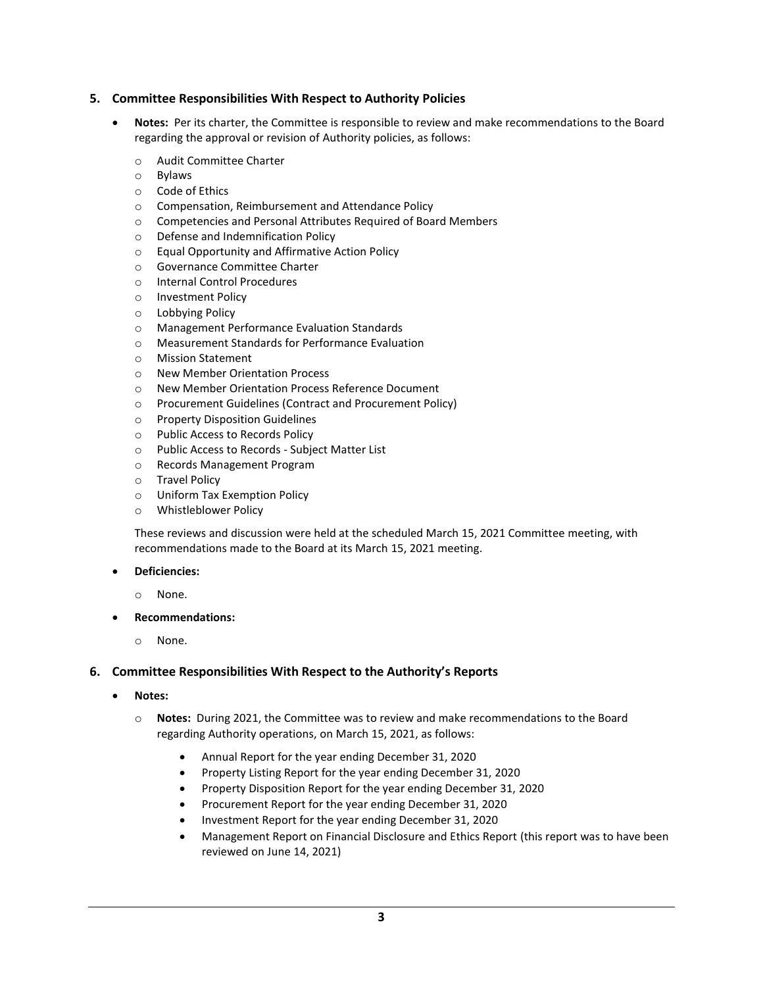## **5. Committee Responsibilities With Respect to Authority Policies**

- **Notes:** Per its charter, the Committee is responsible to review and make recommendations to the Board regarding the approval or revision of Authority policies, as follows:
	- o Audit Committee Charter
	- o Bylaws
	- o Code of Ethics
	- o Compensation, Reimbursement and Attendance Policy
	- o Competencies and Personal Attributes Required of Board Members
	- o Defense and Indemnification Policy
	- o Equal Opportunity and Affirmative Action Policy
	- o Governance Committee Charter
	- o Internal Control Procedures
	- o Investment Policy
	- o Lobbying Policy
	- o Management Performance Evaluation Standards
	- o Measurement Standards for Performance Evaluation
	- o Mission Statement
	- o New Member Orientation Process
	- o New Member Orientation Process Reference Document
	- o Procurement Guidelines (Contract and Procurement Policy)
	- o Property Disposition Guidelines
	- o Public Access to Records Policy
	- o Public Access to Records Subject Matter List
	- o Records Management Program
	- o Travel Policy
	- o Uniform Tax Exemption Policy
	- o Whistleblower Policy

These reviews and discussion were held at the scheduled March 15, 2021 Committee meeting, with recommendations made to the Board at its March 15, 2021 meeting.

#### • **Deficiencies:**

- o None.
- **Recommendations:**
	- o None.

## **6. Committee Responsibilities With Respect to the Authority's Reports**

- **Notes:**
	- o **Notes:** During 2021, the Committee was to review and make recommendations to the Board regarding Authority operations, on March 15, 2021, as follows:
		- Annual Report for the year ending December 31, 2020
		- Property Listing Report for the year ending December 31, 2020
		- Property Disposition Report for the year ending December 31, 2020
		- Procurement Report for the year ending December 31, 2020
		- Investment Report for the year ending December 31, 2020
		- Management Report on Financial Disclosure and Ethics Report (this report was to have been reviewed on June 14, 2021)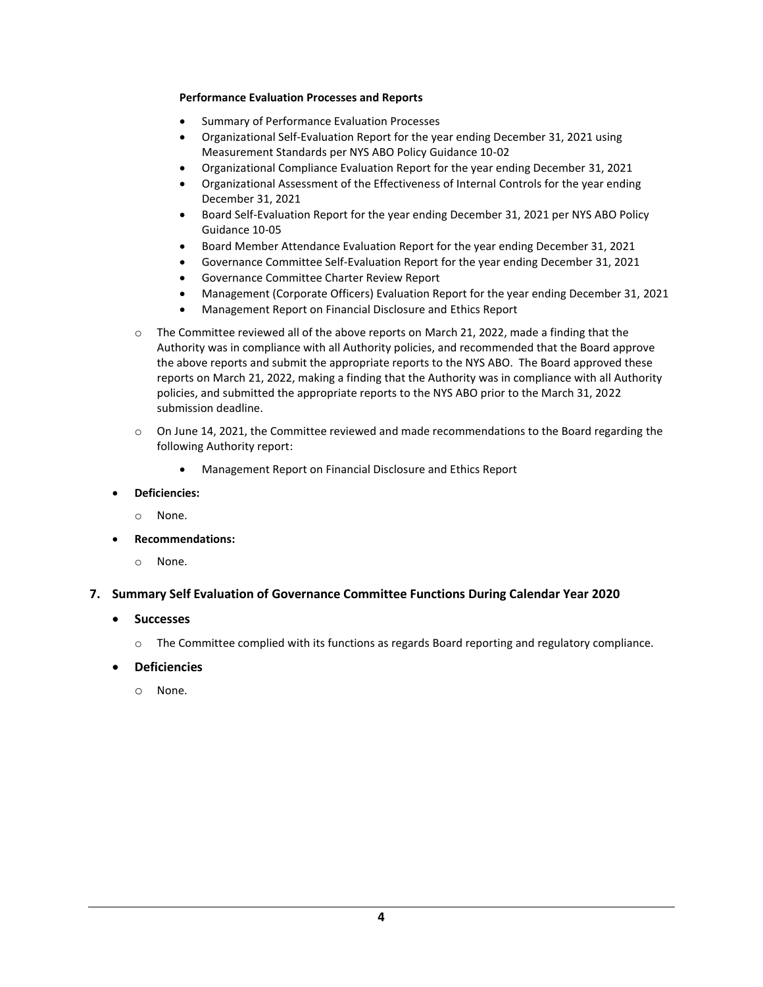### **Performance Evaluation Processes and Reports**

- Summary of Performance Evaluation Processes
- Organizational Self-Evaluation Report for the year ending December 31, 2021 using Measurement Standards per NYS ABO Policy Guidance 10-02
- Organizational Compliance Evaluation Report for the year ending December 31, 2021
- Organizational Assessment of the Effectiveness of Internal Controls for the year ending December 31, 2021
- Board Self-Evaluation Report for the year ending December 31, 2021 per NYS ABO Policy Guidance 10-05
- Board Member Attendance Evaluation Report for the year ending December 31, 2021
- Governance Committee Self-Evaluation Report for the year ending December 31, 2021
- Governance Committee Charter Review Report
- Management (Corporate Officers) Evaluation Report for the year ending December 31, 2021
- Management Report on Financial Disclosure and Ethics Report
- $\circ$  The Committee reviewed all of the above reports on March 21, 2022, made a finding that the Authority was in compliance with all Authority policies, and recommended that the Board approve the above reports and submit the appropriate reports to the NYS ABO. The Board approved these reports on March 21, 2022, making a finding that the Authority was in compliance with all Authority policies, and submitted the appropriate reports to the NYS ABO prior to the March 31, 2022 submission deadline.
- o On June 14, 2021, the Committee reviewed and made recommendations to the Board regarding the following Authority report:
	- Management Report on Financial Disclosure and Ethics Report
- **Deficiencies:**
	- o None.
- **Recommendations:**
	- o None.

## **7. Summary Self Evaluation of Governance Committee Functions During Calendar Year 2020**

- **Successes**
	- o The Committee complied with its functions as regards Board reporting and regulatory compliance.
- **Deficiencies**
	- o None.